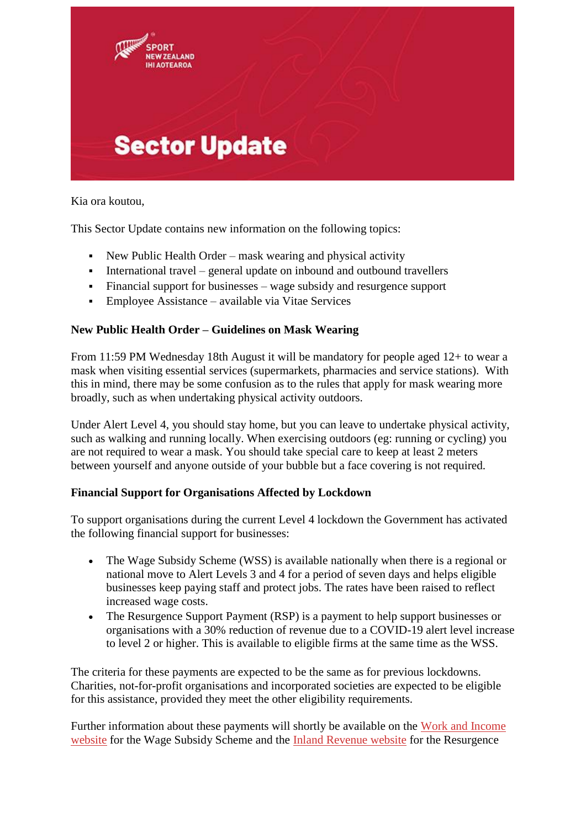

Kia ora koutou,

This Sector Update contains new information on the following topics:

- New Public Health Order mask wearing and physical activity
- International travel general update on inbound and outbound travellers
- Financial support for businesses wage subsidy and resurgence support
- Employee Assistance available via Vitae Services

# **New Public Health Order – Guidelines on Mask Wearing**

From 11:59 PM Wednesday 18th August it will be mandatory for people aged 12+ to wear a mask when visiting essential services (supermarkets, pharmacies and service stations). With this in mind, there may be some confusion as to the rules that apply for mask wearing more broadly, such as when undertaking physical activity outdoors.

Under Alert Level 4, you should stay home, but you can leave to undertake physical activity, such as walking and running locally. When exercising outdoors (eg: running or cycling) you are not required to wear a mask. You should take special care to keep at least 2 meters between yourself and anyone outside of your bubble but a face covering is not required.

## **Financial Support for Organisations Affected by Lockdown**

To support organisations during the current Level 4 lockdown the Government has activated the following financial support for businesses:

- The Wage Subsidy Scheme (WSS) is available nationally when there is a regional or national move to Alert Levels 3 and 4 for a period of seven days and helps eligible businesses keep paying staff and protect jobs. The rates have been raised to reflect increased wage costs.
- The Resurgence Support Payment (RSP) is a payment to help support businesses or organisations with a 30% reduction of revenue due to a COVID-19 alert level increase to level 2 or higher. This is available to eligible firms at the same time as the WSS.

The criteria for these payments are expected to be the same as for previous lockdowns. Charities, not-for-profit organisations and incorporated societies are expected to be eligible for this assistance, provided they meet the other eligibility requirements.

Further information about these payments will shortly be available on the [Work and Income](https://cl.s11.exct.net/?qs=0ed7af6246a90e326c7c74a3e69771ddbb5a2603ea40a876442b24b8f14603d07b4bc8592a0300a4e450c4619da3e963b1bdeac56d3f7708)  [website](https://cl.s11.exct.net/?qs=0ed7af6246a90e326c7c74a3e69771ddbb5a2603ea40a876442b24b8f14603d07b4bc8592a0300a4e450c4619da3e963b1bdeac56d3f7708) for the Wage Subsidy Scheme and the [Inland Revenue website](https://cl.s11.exct.net/?qs=0ed7af6246a90e32a171d7dec36ee2b58ded14f6a93c3a2b165cf3e26deb070e5f835bee75fa60672eda3cccabe063d05bd0418c7c73cd8b) for the Resurgence